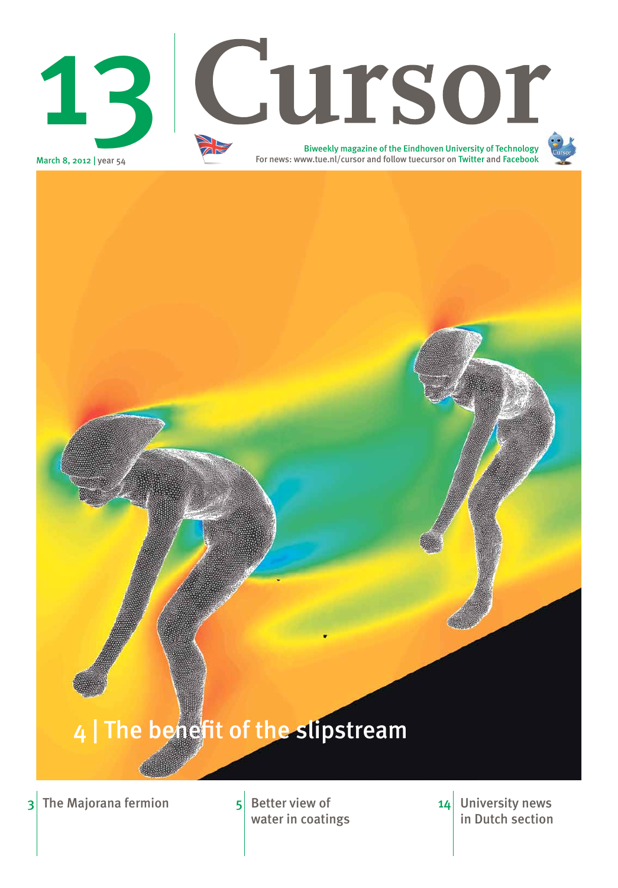**University news** in Dutch section 14

water in coatings





# 4 The benefit of the slipstream

## $3$  The Majorana fermion  $5$  Better view of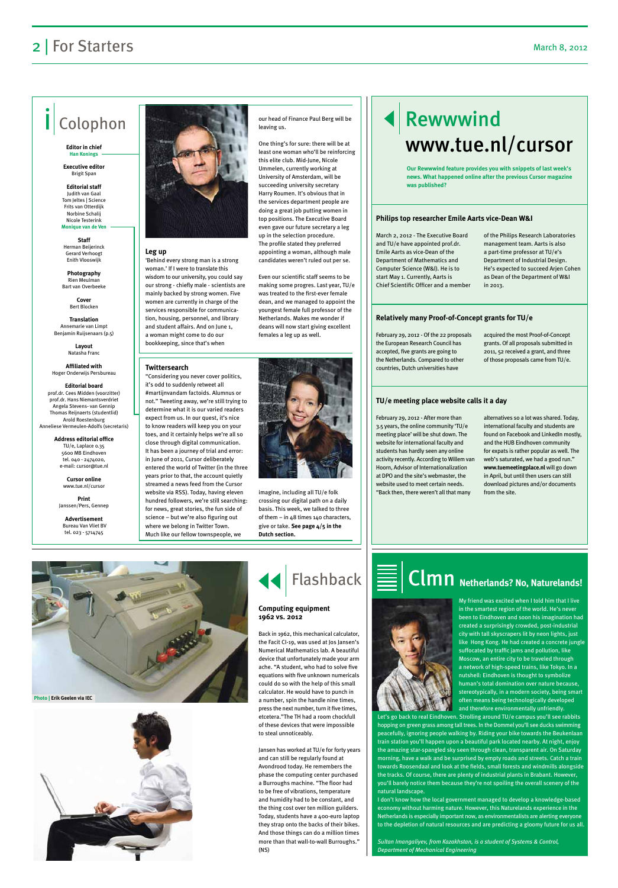#### **Leg up**

'Behind every strong man is a strong woman.' If I were to translate this wisdom to our university, you could say our strong - chiefly male - scientists are mainly backed by strong women. Five women are currently in charge of the services responsible for communication, housing, personnel, and library and student affairs. And on June 1, a woman might come to do our bookkeeping, since that's when

our head of Finance Paul Berg will be leaving us.

One thing's for sure: there will be at least one woman who'll be reinforcing this elite club. Mid-June, Nicole Ummelen, currently working at University of Amsterdam, will be succeeding university secretary Harry Roumen. It's obvious that in the services department people are doing a great job putting women in top positions. The Executive Board even gave our future secretary a leg up in the selection procedure. The profile stated they preferred appointing a woman, although male candidates weren't ruled out per se.

Even our scientific staff seems to be making some progres. Last year, TU/e was treated to the first-ever female dean, and we managed to appoint the youngest female full professor of the Netherlands. Makes me wonder if deans will now start giving excellent females a leg up as well.



# Rewwwind www.tue.nl/cursor

## 2 | For Starters March 8, 2012

# Colophon

#### **Editor in chief Han Konings**

**Executive editor**  Brigit Span

**Editorial staff** Judith van Gaal Tom Jeltes | Science Frits van Otterdijk Norbine Schalij Nicole Testerink **Monique van de Ven**

**Staff**  Herman Beijerinck Gerard Verhoogt Enith Vlooswijk

**Photography**  Rien Meulman Bart van Overbeeke

> **Cover** Bert Blocken

**Translation** Annemarie van Limpt Benjamin Ruijsenaars (p.5)

> **Layout** Natasha Franc

**Affiliated with**  Hoger Onderwijs Persbureau

**Editorial board** prof.dr. Cees Midden (voorzitter) prof.dr. Hans Niemantsverdriet Angela Stevens- van Gennip Thomas Reijnaerts (studentlid) Arold Roestenburg Anneliese Vermeulen-Adolfs (secretaris)

> **Address editorial office** TU/e, Laplace 0.35 5600 MB Eindhoven tel. 040 - 2474020, e-mail: cursor@tue.nl

> > **Cursor online** www.tue.nl/cursor

**Print** Janssen/Pers, Gennep

**Advertisement** Bureau Van Vliet BV tel. 023 - 5714745



March 2, 2012 - The Executive Board and TU/e have appointed prof.dr. Emile Aarts as vice-Dean of the Department of Mathematics and Computer Science (W&I). He is to start May 1. Currently, Aarts is Chief Scientific Officer and a member of the Philips Research Laboratories management team. Aarts is also a part-time professor at TU/e's Department of Industrial Design. He's expected to succeed Arjen Cohen as Dean of the Department of W&I in 2013.

February 29, 2012 - Of the 22 proposals the European Research Council has accepted, five grants are going to the Netherlands. Compared to other countries, Dutch universities have

acquired the most Proof-of-Concept grants. Of all proposals submitted in 2011, 52 received a grant, and three of those proposals came from TU/e.

February 29, 2012 - After more than 3.5 years, the online community 'TU/e meeting place' will be shut down. The website for international faculty and students has hardly seen any online activity recently. According to Willem van Hoorn, Advisor of Internationalization at DPO and the site's webmaster, the website used to meet certain needs. "Back then, there weren't all that many

alternatives so a lot was shared. Today, international faculty and students are found on Facebook and LinkedIn mostly, and the HUB Eindhoven community for expats is rather popular as well. The web's saturated, we had a good run." **www.tuemeetingplace.nl** will go down in April, but until then users can still download pictures and/or documents from the site.



#### **Philips top researcher Emile Aarts vice-Dean W&I**

#### **Relatively many Proof-of-Concept grants for TU/e**

#### **TU/e meeting place website calls it a day**

**Our Rewwwind feature provides you with snippets of last week's news. What happened online after the previous Cursor magazine was published?**

#### **Twittersearch**

"Considering you never cover politics, it's odd to suddenly retweet all #martijnvandam factoids. Alumnus or not." Tweeting away, we're still trying to determine what it is our varied readers expect from us. In our quest, it's nice to know readers will keep you on your toes, and it certainly helps we're all so close through digital communication. It has been a journey of trial and error: in June of 2011, Cursor deliberately entered the world of Twitter (in the three years prior to that, the account quietly streamed a news feed from the Cursor website via RSS). Today, having eleven hundred followers, we're still searching: for news, great stories, the fun side of science – but we're also figuring out where we belong in Twitter Town. Much like our fellow townspeople, we

> My friend was excited when I told him that I live in the smartest region of the world. He's never been to Eindhoven and soon his imagination had created a surprisingly crowded, post-industrial city with tall skyscrapers lit by neon lights, just like Hong Kong. He had created a concrete jungle suffocated by traffic jams and pollution, like Moscow, an entire city to be traveled through a network of high-speed trains, like Tokyo. In a nutshell: Eindhoven is thought to symbolize

human's total domination over nature because, stereotypically, in a modern society, being smart often means being technologically developed and therefore environmentally unfriendly.

Let's go back to real Eindhoven. Strolling around TU/e campus you'll see rabbits hopping on green grass among tall trees. In the Dommel you'll see ducks swimming peacefully, ignoring people walking by. Riding your bike towards the Beukenlaan train station you'll happen upon a beautiful park located nearby. At night, enjoy the amazing star-spangled sky seen through clean, transparent air. On Saturday morning, have a walk and be surprised by empty roads and streets. Catch a train towards Roosendaal and look at the fields, small forests and windmills alongside the tracks. Of course, there are plenty of industrial plants in Brabant. However, you'll barely notice them because they're not spoiling the overall scenery of the natural landscape.

I don't know how the local government managed to develop a knowledge-based economy without harming nature. However, this Naturelands experience in the Netherlands is especially important now, as environmentalists are alerting everyone to the depletion of natural resources and are predicting a gloomy future for us all.

*Sultan Imangaliyev, from Kazakhstan, is a student of Systems & Control, Department of Mechanical Engineering*

Back in 1962, this mechanical calculator, the Facit CI-19, was used at Jos Jansen's Numerical Mathematics lab. A beautiful device that unfortunately made your arm ache. "A student, who had to solve five equations with five unknown numericals could do so with the help of this small calculator. He would have to punch in a number, spin the handle nine times, press the next number, turn it five times, etcetera."The TH had a room chockfull of these devices that were impossible to steal unnoticeably.

# $clm$ n Netherlands? No, Naturelands!



Jansen has worked at TU/e for forty years and can still be regularly found at Avondrood today. He remembers the phase the computing center purchased a Burroughs machine. "The floor had to be free of vibrations, temperature and humidity had to be constant, and the thing cost over ten million guilders. Today, students have a 400-euro laptop they strap onto the backs of their bikes. And those things can do a million times more than that wall-to-wall Burroughs." (NS)

#### **Computing equipment 1962 vs. 2012**



#### **Photo | Erik Geelen via IEC**



imagine, including all TU/e folk crossing our digital path on a daily basis. This week, we talked to three of them – in 48 times 140 characters, give or take. **See page 4/5 in the Dutch section.**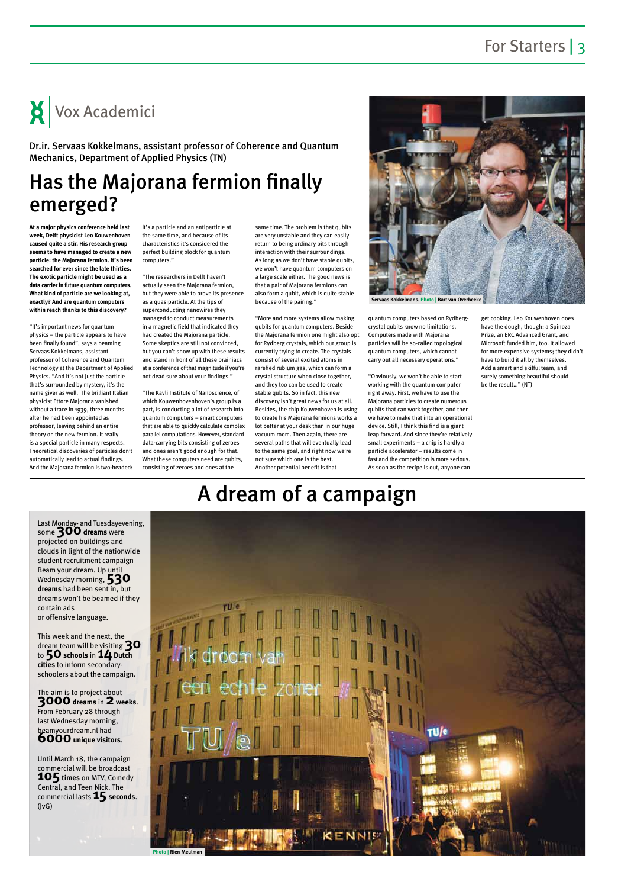## For Starters | 3

# Has the Majorana fermion finally emerged?

# A dream of a campaign

**At a major physics conference held last week, Delft physicist Leo Kouwenhoven caused quite a stir. His research group seems to have managed to create a new particle: the Majorana fermion. It's been searched for ever since the late thirties. The exotic particle might be used as a data carrier in future quantum computers. What kind of particle are we looking at, exactly? And are quantum computers within reach thanks to this discovery?**

"It's important news for quantum physics – the particle appears to have been finally found", says a beaming Servaas Kokkelmans, assistant professor of Coherence and Quantum Technology at the Department of Applied Physics. "And it's not just the particle that's surrounded by mystery, it's the name giver as well. The brilliant Italian physicist Ettore Majorana vanished without a trace in 1939, three months after he had been appointed as professor, leaving behind an entire theory on the new fermion. It really is a special particle in many respects. Theoretical discoveries of particles don't automatically lead to actual findings. And the Majorana fermion is two-headed:

it's a particle and an antiparticle at the same time, and because of its characteristics it's considered the perfect building block for quantum computers."

"The researchers in Delft haven't actually seen the Majorana fermion, but they were able to prove its presence as a quasiparticle. At the tips of superconducting nanowires they managed to conduct measurements in a magnetic field that indicated they had created the Majorana particle. Some skeptics are still not convinced, but you can't show up with these results and stand in front of all these brainiacs at a conference of that magnitude if you're not dead sure about your findings."

"The Kavli Institute of Nanoscience, of which Kouwenhovenhoven's group is a part, is conducting a lot of research into quantum computers – smart computers that are able to quickly calculate complex parallel computations. However, standard data-carrying bits consisting of zeroes and ones aren't good enough for that. What these computers need are qubits, consisting of zeroes and ones at the

same time. The problem is that qubits are very unstable and they can easily return to being ordinary bits through interaction with their surroundings. As long as we don't have stable qubits, we won't have quantum computers on a large scale either. The good news is that a pair of Majorana fermions can also form a qubit, which is quite stable because of the pairing."

"More and more systems allow making qubits for quantum computers. Beside the Majorana fermion one might also opt for Rydberg crystals, which our group is currently trying to create. The crystals consist of several excited atoms in rarefied rubium gas, which can form a crystal structure when close together, and they too can be used to create stable qubits. So in fact, this new discovery isn't great news for us at all. Besides, the chip Kouwenhoven is using to create his Majorana fermions works a lot better at your desk than in our huge vacuum room. Then again, there are several paths that will eventually lead to the same goal, and right now we're not sure which one is the best. Another potential benefit is that

quantum computers based on Rydbergcrystal qubits know no limitations. Computers made with Majorana particles will be so-called topological quantum computers, which cannot carry out all necessary operations."

"Obviously, we won't be able to start working with the quantum computer right away. First, we have to use the Majorana particles to create numerous qubits that can work together, and then we have to make that into an operational device. Still, I think this find is a giant leap forward. And since they're relatively small experiments – a chip is hardly a particle accelerator – results come in fast and the competition is more serious. As soon as the recipe is out, anyone can

get cooking. Leo Kouwenhoven does have the dough, though: a Spinoza Prize, an ERC Advanced Grant, and Microsoft funded him, too. It allowed for more expensive systems; they didn't have to build it all by themselves. Add a smart and skilful team, and surely something beautiful should be the result…" (NT)

Vox Academici

Dr.ir. Servaas Kokkelmans, assistant professor of Coherence and Quantum Mechanics, Department of Applied Physics (TN)



**Servaas Kokkelmans. Photo | Bart van Overbeeke**



Last Monday- and Tuesdayevening, some **300dreams** were projected on buildings and clouds in light of the nationwide student recruitment campaign Beam your dream. Up until Wednesday morning, **530 dreams** had been sent in, but dreams won't be beamed if they contain ads or offensive language.

This week and the next, the dream team will be visiting **30** to **50schools** in **14 Dutch cities** to inform secondaryschoolers about the campaign.

The aim is to project about **3000dreams** in **2 weeks**. From February 28 through last Wednesday morning, beamyourdream.nl had **6000unique visitors**.

Until March 18, the campaign commercial will be broadcast **105 times** on MTV, Comedy Central, and Teen Nick. The commercial lasts **15** seconds. (JvG)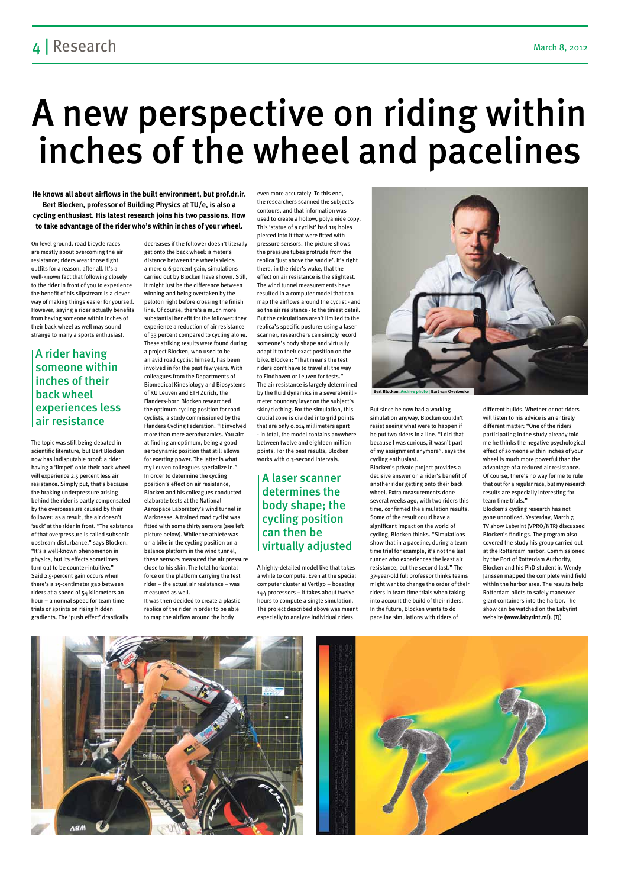## 4 Research March 8, 2012

# A new perspective on riding within inches of the wheel and pacelines

On level ground, road bicycle races are mostly about overcoming the air resistance; riders wear those tight outfits for a reason, after all. It's a well-known fact that following closely to the rider in front of you to experience the benefit of his slipstream is a clever way of making things easier for yourself. However, saying a rider actually benefits from having someone within inches of their back wheel as well may sound strange to many a sports enthusiast.

The topic was still being debated in scientific literature, but Bert Blocken now has indisputable proof: a rider having a 'limpet' onto their back wheel will experience 2.5 percent less air resistance. Simply put, that's because the braking underpressure arising behind the rider is partly compensated by the overpesssure caused by their follower: as a result, the air doesn't 'suck' at the rider in front. "The existence of that overpressure is called subsonic upstream disturbance," says Blocken. "It's a well-known phenomenon in physics, but its effects sometimes turn out to be counter-intuitive." Said 2.5-percent gain occurs when there's a 15-centimeter gap between riders at a speed of 54 kilometers an hour – a normal speed for team time trials or sprints on rising hidden gradients. The 'push effect' drastically

decreases if the follower doesn't literally get onto the back wheel: a meter's distance between the wheels yields a mere 0.6-percent gain, simulations carried out by Blocken have shown. Still, it might just be the difference between winning and being overtaken by the peloton right before crossing the finish line. Of course, there's a much more substantial benefit for the follower: they experience a reduction of air resistance of 33 percent compared to cycling alone. These striking results were found during a project Blocken, who used to be an avid road cyclist himself, has been involved in for the past few years. With colleagues from the Departments of Biomedical Kinesiology and Biosystems of KU Leuven and ETH Zürich, the Flanders-born Blocken researched the optimum cycling position for road cyclists, a study commissioned by the Flanders Cycling Federation. "It involved more than mere aerodynamics. You aim at finding an optimum, being a good aerodynamic position that still allows for exerting power. The latter is what my Leuven colleagues specialize in." In order to determine the cycling position's effect on air resistance, Blocken and his colleagues conducted elaborate tests at the National Aerospace Laboratory's wind tunnel in Marknesse. A trained road cyclist was fitted with some thirty sensors (see left picture below). While the athlete was on a bike in the cycling position on a balance platform in the wind tunnel, these sensors measured the air pressure

close to his skin. The total horizontal force on the platform carrying the test rider – the actual air resistance – was measured as well.

It was then decided to create a plastic replica of the rider in order to be able to map the airflow around the body

even more accurately. To this end, the researchers scanned the subject's contours, and that information was used to create a hollow, polyamide copy. This 'statue of a cyclist' had 115 holes pierced into it that were fitted with pressure sensors. The picture shows the pressure tubes protrude from the replica 'just above the saddle'. It's right there, in the rider's wake, that the effect on air resistance is the slightest. The wind tunnel measurements have resulted in a computer model that can map the airflows around the cyclist - and so the air resistance - to the tiniest detail. But the calculations aren't limited to the replica's specific posture: using a laser scanner, researchers can simply record someone's body shape and virtually adapt it to their exact position on the bike. Blocken: "That means the test riders don't have to travel all the way to Eindhoven or Leuven for tests." The air resistance is largely determined by the fluid dynamics in a several-millimeter boundary layer on the subject's skin/clothing. For the simulation, this crucial zone is divided into grid points that are only 0.014 millimeters apart - in total, the model contains anywhere between twelve and eighteen million points. For the best results, Blocken works with 0.3-second intervals.

A highly-detailed model like that takes a while to compute. Even at the special computer cluster at Vertigo – boasting 144 processors – it takes about twelve hours to compute a single simulation. The project described above was meant especially to analyze individual riders.



But since he now had a working simulation anyway, Blocken couldn't resist seeing what were to happen if he put two riders in a line. "I did that because I was curious, it wasn't part of my assignment anymore", says the cycling enthusiast.

Blocken's private project provides a decisive answer on a rider's benefit of another rider getting onto their back wheel. Extra measurements done several weeks ago, with two riders this time, confirmed the simulation results. Some of the result could have a significant impact on the world of cycling, Blocken thinks. "Simulations show that in a paceline, during a team time trial for example, it's not the last runner who experiences the least air resistance, but the second last." The 37-year-old full professor thinks teams might want to change the order of their riders in team time trials when taking into account the build of their riders. In the future, Blocken wants to do paceline simulations with riders of

different builds. Whether or not riders will listen to his advice is an entirely different matter: "One of the riders participating in the study already told me he thinks the negative psychological effect of someone within inches of your wheel is much more powerful than the advantage of a reduced air resistance. Of course, there's no way for me to rule that out for a regular race, but my research results are especially interesting for team time trials."

Blocken's cycling research has not gone unnoticed. Yesterday, March 7, TV show Labyrint (VPRO/NTR) discussed Blocken's findings. The program also covered the study his group carried out at the Rotterdam harbor. Commissioned by the Port of Rotterdam Authority, Blocken and his PhD student ir. Wendy Janssen mapped the complete wind field within the harbor area. The results help Rotterdam pilots to safely maneuver giant containers into the harbor. The show can be watched on the Labyrint website **(www.labyrint.ml)**. (TJ)



**He knows all about airflows in the built environment, but prof.dr.ir. Bert Blocken, professor of Building Physics at TU/e, is also a cycling enthusiast. His latest research joins his two passions. How to take advantage of the rider who's within inches of your wheel.**

## A rider having someone within inches of their back wheel experiences less air resistance

## A laser scanner determines the body shape; the cycling position can then be virtually adjusted

**Bert Blocken. Archive photo | Bart van Overbeeke**